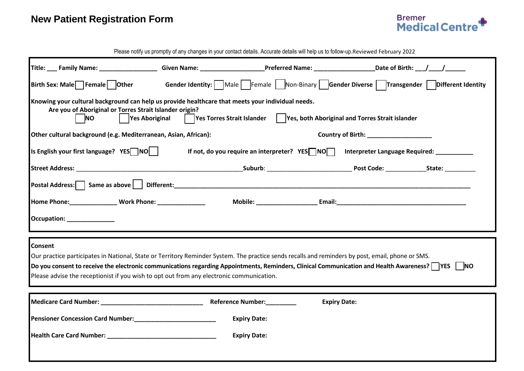

|  | Please notify us promptly of any changes in your contact details. Accurate details will help us to follow-up.Reviewed February 2022 |
|--|-------------------------------------------------------------------------------------------------------------------------------------|
|--|-------------------------------------------------------------------------------------------------------------------------------------|

| Title: ___ Family Name: _____________________Given Name: ____________________Preferred Name: _________________Date of Birth: ___/____/_____________Given Name: __________________________Preferred Name: _____________________                                                                                                                                                                                                       |  |                     |                                                                                  |  |  |
|--------------------------------------------------------------------------------------------------------------------------------------------------------------------------------------------------------------------------------------------------------------------------------------------------------------------------------------------------------------------------------------------------------------------------------------|--|---------------------|----------------------------------------------------------------------------------|--|--|
| Birth Sex: Male Female Other Gender Identity: Male Female Non-Binary Gender Diverse Transgender Different Identity                                                                                                                                                                                                                                                                                                                   |  |                     |                                                                                  |  |  |
| Knowing your cultural background can help us provide healthcare that meets your individual needs.<br>Are you of Aboriginal or Torres Strait Islander origin?<br> Yes Aboriginal    Yes Torres Strait Islander    Yes, both Aboriginal and Torres Strait islander<br><b>NO</b>                                                                                                                                                        |  |                     |                                                                                  |  |  |
| Other cultural background (e.g. Mediterranean, Asian, African):                                                                                                                                                                                                                                                                                                                                                                      |  |                     | Country of Birth: ___________________                                            |  |  |
| Is English your first language? $YES$ NO                                                                                                                                                                                                                                                                                                                                                                                             |  |                     | If not, do you require an interpreter? $YES$ NO   Interpreter Language Required: |  |  |
|                                                                                                                                                                                                                                                                                                                                                                                                                                      |  |                     |                                                                                  |  |  |
|                                                                                                                                                                                                                                                                                                                                                                                                                                      |  |                     |                                                                                  |  |  |
| Home Phone:_________________ Work Phone: _______________                                                                                                                                                                                                                                                                                                                                                                             |  |                     |                                                                                  |  |  |
| Occupation: ______________                                                                                                                                                                                                                                                                                                                                                                                                           |  |                     |                                                                                  |  |  |
| <b>Consent</b><br>Our practice participates in National, State or Territory Reminder System. The practice sends recalls and reminders by post, email, phone or SMS.<br>Do you consent to receive the electronic communications regarding Appointments, Reminders, Clinical Communication and Health Awareness? $\Box$ YES $\parallel$ NO<br>Please advise the receptionist if you wish to opt out from any electronic communication. |  |                     |                                                                                  |  |  |
|                                                                                                                                                                                                                                                                                                                                                                                                                                      |  |                     |                                                                                  |  |  |
|                                                                                                                                                                                                                                                                                                                                                                                                                                      |  | <b>Expiry Date:</b> |                                                                                  |  |  |
| Pensioner Concession Card Number: ____________________________                                                                                                                                                                                                                                                                                                                                                                       |  | <b>Expiry Date:</b> |                                                                                  |  |  |
|                                                                                                                                                                                                                                                                                                                                                                                                                                      |  | <b>Expiry Date:</b> |                                                                                  |  |  |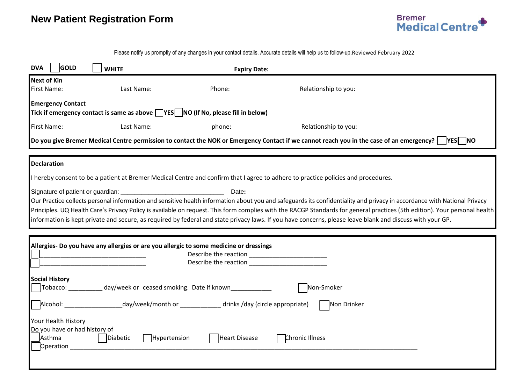

Please notify us promptly of any changes in your contact details. Accurate details will help us to follow-up.Reviewed February 2022

| <b>DVA</b>                                                                                                                                                                                                      | GOLD<br><b>WHITE</b>                                                                                                                              | <b>Expiry Date:</b> |                                                                                                                                                                                                                                                                                                                                                                                                                                                                                                                     |  |  |  |
|-----------------------------------------------------------------------------------------------------------------------------------------------------------------------------------------------------------------|---------------------------------------------------------------------------------------------------------------------------------------------------|---------------------|---------------------------------------------------------------------------------------------------------------------------------------------------------------------------------------------------------------------------------------------------------------------------------------------------------------------------------------------------------------------------------------------------------------------------------------------------------------------------------------------------------------------|--|--|--|
| <b>Next of Kin</b><br>First Name:                                                                                                                                                                               | Last Name:                                                                                                                                        | Phone:              | Relationship to you:                                                                                                                                                                                                                                                                                                                                                                                                                                                                                                |  |  |  |
|                                                                                                                                                                                                                 | <b>Emergency Contact</b><br>Tick if emergency contact is same as above $\Box$ YES   NO (If No, please fill in below)                              |                     |                                                                                                                                                                                                                                                                                                                                                                                                                                                                                                                     |  |  |  |
| First Name:                                                                                                                                                                                                     | Last Name:                                                                                                                                        | phone:              | Relationship to you:                                                                                                                                                                                                                                                                                                                                                                                                                                                                                                |  |  |  |
|                                                                                                                                                                                                                 | Do you give Bremer Medical Centre permission to contact the NOK or Emergency Contact if we cannot reach you in the case of an emergency?   YES NO |                     |                                                                                                                                                                                                                                                                                                                                                                                                                                                                                                                     |  |  |  |
| <b>Declaration</b>                                                                                                                                                                                              |                                                                                                                                                   |                     |                                                                                                                                                                                                                                                                                                                                                                                                                                                                                                                     |  |  |  |
|                                                                                                                                                                                                                 |                                                                                                                                                   |                     | I hereby consent to be a patient at Bremer Medical Centre and confirm that I agree to adhere to practice policies and procedures.                                                                                                                                                                                                                                                                                                                                                                                   |  |  |  |
|                                                                                                                                                                                                                 |                                                                                                                                                   | Date:               | Our Practice collects personal information and sensitive health information about you and safeguards its confidentiality and privacy in accordance with National Privacy<br>Principles. UQ Health Care's Privacy Policy is available on request. This form complies with the RACGP Standards for general practices (5th edition). Your personal health<br>information is kept private and secure, as required by federal and state privacy laws. If you have concerns, please leave blank and discuss with your GP. |  |  |  |
|                                                                                                                                                                                                                 | Allergies- Do you have any allergies or are you allergic to some medicine or dressings                                                            |                     |                                                                                                                                                                                                                                                                                                                                                                                                                                                                                                                     |  |  |  |
| <b>Social History</b>                                                                                                                                                                                           |                                                                                                                                                   |                     |                                                                                                                                                                                                                                                                                                                                                                                                                                                                                                                     |  |  |  |
| Tobacco: ____________ day/week or ceased smoking. Date if known____________<br>Non-Smoker<br>Alcohol: _______________________day/week/month or _________________drinks /day (circle appropriate)<br>Non Drinker |                                                                                                                                                   |                     |                                                                                                                                                                                                                                                                                                                                                                                                                                                                                                                     |  |  |  |
|                                                                                                                                                                                                                 |                                                                                                                                                   |                     |                                                                                                                                                                                                                                                                                                                                                                                                                                                                                                                     |  |  |  |
| Your Health History<br>Asthma<br>Operation                                                                                                                                                                      | Do you have or had history of<br>Diabetic<br>Hypertension                                                                                         | Heart Disease       | Chronic Illness                                                                                                                                                                                                                                                                                                                                                                                                                                                                                                     |  |  |  |